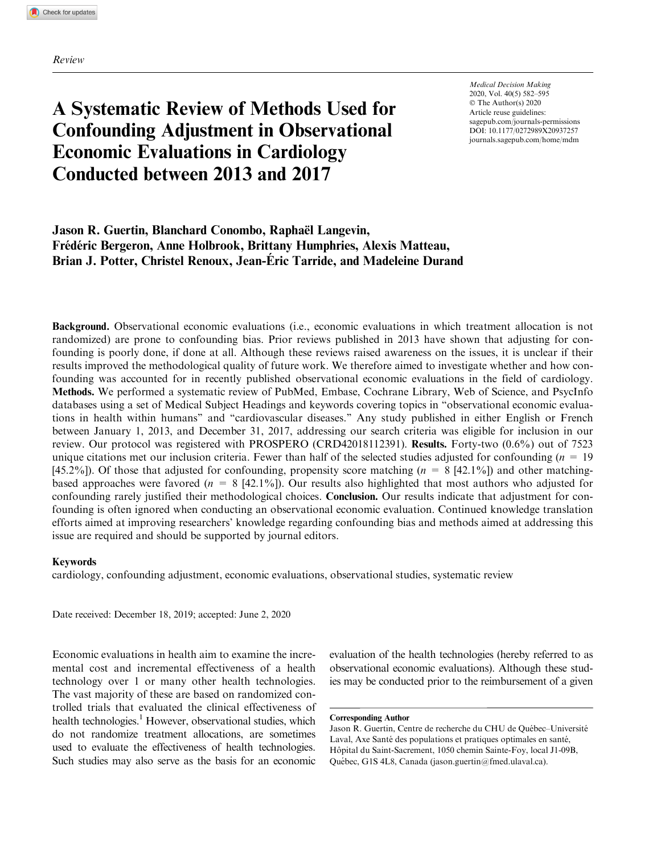Review

# A Systematic Review of Methods Used for Confounding Adjustment in Observational Economic Evaluations in Cardiology Conducted between 2013 and 2017

Medical Decision Making 2020, Vol. 40(5) 582–595 © The Author(s) 2020 Article reuse guidelines: [sagepub.com/journals-permissions](us.sagepub.com/en-us/journals-permissions) [DOI: 10.1177/0272989X20937257](https://doi.dox.org/10.1177/0272989X20937257) <journals.sagepub.com/home/mdm>

# Jason R. Guertin, Blanchard Conombo, Raphaël Langevin, Frédéric Bergeron, Anne Holbrook, Brittany Humphries, Alexis Matteau, Brian J. Potter, Christel Renoux, Jean-Éric Tarride, and Madeleine Durand

Background. Observational economic evaluations (i.e., economic evaluations in which treatment allocation is not randomized) are prone to confounding bias. Prior reviews published in 2013 have shown that adjusting for confounding is poorly done, if done at all. Although these reviews raised awareness on the issues, it is unclear if their results improved the methodological quality of future work. We therefore aimed to investigate whether and how confounding was accounted for in recently published observational economic evaluations in the field of cardiology. Methods. We performed a systematic review of PubMed, Embase, Cochrane Library, Web of Science, and PsycInfo databases using a set of Medical Subject Headings and keywords covering topics in ''observational economic evaluations in health within humans'' and ''cardiovascular diseases.'' Any study published in either English or French between January 1, 2013, and December 31, 2017, addressing our search criteria was eligible for inclusion in our review. Our protocol was registered with PROSPERO (CRD42018112391). Results. Forty-two (0.6%) out of 7523 unique citations met our inclusion criteria. Fewer than half of the selected studies adjusted for confounding  $(n = 19$ [45.2%]). Of those that adjusted for confounding, propensity score matching ( $n = 8$  [42.1%]) and other matchingbased approaches were favored ( $n = 8$  [42.1%]). Our results also highlighted that most authors who adjusted for confounding rarely justified their methodological choices. Conclusion. Our results indicate that adjustment for confounding is often ignored when conducting an observational economic evaluation. Continued knowledge translation efforts aimed at improving researchers' knowledge regarding confounding bias and methods aimed at addressing this issue are required and should be supported by journal editors.

#### Keywords

cardiology, confounding adjustment, economic evaluations, observational studies, systematic review

Date received: December 18, 2019; accepted: June 2, 2020

Economic evaluations in health aim to examine the incremental cost and incremental effectiveness of a health technology over 1 or many other health technologies. The vast majority of these are based on randomized controlled trials that evaluated the clinical effectiveness of health technologies.<sup>1</sup> However, observational studies, which do not randomize treatment allocations, are sometimes used to evaluate the effectiveness of health technologies. Such studies may also serve as the basis for an economic evaluation of the health technologies (hereby referred to as observational economic evaluations). Although these studies may be conducted prior to the reimbursement of a given

#### Corresponding Author

Jason R. Guertin, Centre de recherche du CHU de Québec–Université Laval, Axe Santé des populations et pratiques optimales en santé, Hôpital du Saint-Sacrement, 1050 chemin Sainte-Foy, local J1-09B, Québec, G1S 4L8, Canada (jason.guertin@fmed.ulaval.ca).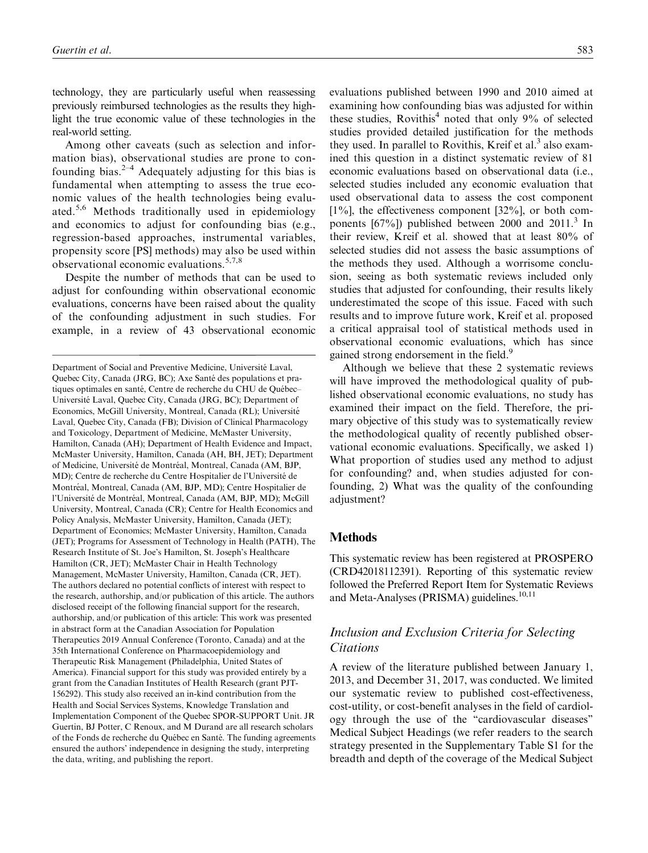technology, they are particularly useful when reassessing previously reimbursed technologies as the results they highlight the true economic value of these technologies in the real-world setting.

Among other caveats (such as selection and information bias), observational studies are prone to confounding bias. $2^{-4}$  Adequately adjusting for this bias is fundamental when attempting to assess the true economic values of the health technologies being evaluated.5,6 Methods traditionally used in epidemiology and economics to adjust for confounding bias (e.g., regression-based approaches, instrumental variables, propensity score [PS] methods) may also be used within observational economic evaluations.5,7,8

Despite the number of methods that can be used to adjust for confounding within observational economic evaluations, concerns have been raised about the quality of the confounding adjustment in such studies. For example, in a review of 43 observational economic evaluations published between 1990 and 2010 aimed at examining how confounding bias was adjusted for within these studies, Rovithis<sup>4</sup> noted that only  $9\%$  of selected studies provided detailed justification for the methods they used. In parallel to Rovithis, Kreif et al.<sup>3</sup> also examined this question in a distinct systematic review of 81 economic evaluations based on observational data (i.e., selected studies included any economic evaluation that used observational data to assess the cost component  $[1\%]$ , the effectiveness component  $[32\%]$ , or both components  $[67\%]$  published between 2000 and 2011.<sup>3</sup> In their review, Kreif et al. showed that at least 80% of selected studies did not assess the basic assumptions of the methods they used. Although a worrisome conclusion, seeing as both systematic reviews included only studies that adjusted for confounding, their results likely underestimated the scope of this issue. Faced with such results and to improve future work, Kreif et al. proposed a critical appraisal tool of statistical methods used in observational economic evaluations, which has since gained strong endorsement in the field.<sup>9</sup>

Although we believe that these 2 systematic reviews will have improved the methodological quality of published observational economic evaluations, no study has examined their impact on the field. Therefore, the primary objective of this study was to systematically review the methodological quality of recently published observational economic evaluations. Specifically, we asked 1) What proportion of studies used any method to adjust for confounding? and, when studies adjusted for confounding, 2) What was the quality of the confounding adjustment?

### Methods

This systematic review has been registered at PROSPERO (CRD42018112391). Reporting of this systematic review followed the Preferred Report Item for Systematic Reviews and Meta-Analyses (PRISMA) guidelines.<sup>10,11</sup>

# Inclusion and Exclusion Criteria for Selecting Citations

A review of the literature published between January 1, 2013, and December 31, 2017, was conducted. We limited our systematic review to published cost-effectiveness, cost-utility, or cost-benefit analyses in the field of cardiology through the use of the ''cardiovascular diseases'' Medical Subject Headings (we refer readers to the search strategy presented in the Supplementary Table S1 for the breadth and depth of the coverage of the Medical Subject

Department of Social and Preventive Medicine, Université Laval, Quebec City, Canada (JRG, BC); Axe Santé des populations et pratiques optimales en santé, Centre de recherche du CHU de Québec-Université Laval, Quebec City, Canada (JRG, BC); Department of Economics, McGill University, Montreal, Canada (RL); Universite´ Laval, Quebec City, Canada (FB); Division of Clinical Pharmacology and Toxicology, Department of Medicine, McMaster University, Hamilton, Canada (AH); Department of Health Evidence and Impact, McMaster University, Hamilton, Canada (AH, BH, JET); Department of Medicine, Université de Montréal, Montreal, Canada (AM, BJP, MD); Centre de recherche du Centre Hospitalier de l'Université de Montréal, Montreal, Canada (AM, BJP, MD); Centre Hospitalier de l'Université de Montréal, Montreal, Canada (AM, BJP, MD); McGill University, Montreal, Canada (CR); Centre for Health Economics and Policy Analysis, McMaster University, Hamilton, Canada (JET); Department of Economics; McMaster University, Hamilton, Canada (JET); Programs for Assessment of Technology in Health (PATH), The Research Institute of St. Joe's Hamilton, St. Joseph's Healthcare Hamilton (CR, JET); McMaster Chair in Health Technology Management, McMaster University, Hamilton, Canada (CR, JET). The authors declared no potential conflicts of interest with respect to the research, authorship, and/or publication of this article. The authors disclosed receipt of the following financial support for the research, authorship, and/or publication of this article: This work was presented in abstract form at the Canadian Association for Population Therapeutics 2019 Annual Conference (Toronto, Canada) and at the 35th International Conference on Pharmacoepidemiology and Therapeutic Risk Management (Philadelphia, United States of America). Financial support for this study was provided entirely by a grant from the Canadian Institutes of Health Research (grant PJT-156292). This study also received an in-kind contribution from the Health and Social Services Systems, Knowledge Translation and Implementation Component of the Quebec SPOR-SUPPORT Unit. JR Guertin, BJ Potter, C Renoux, and M Durand are all research scholars of the Fonds de recherche du Québec en Santé. The funding agreements ensured the authors' independence in designing the study, interpreting the data, writing, and publishing the report.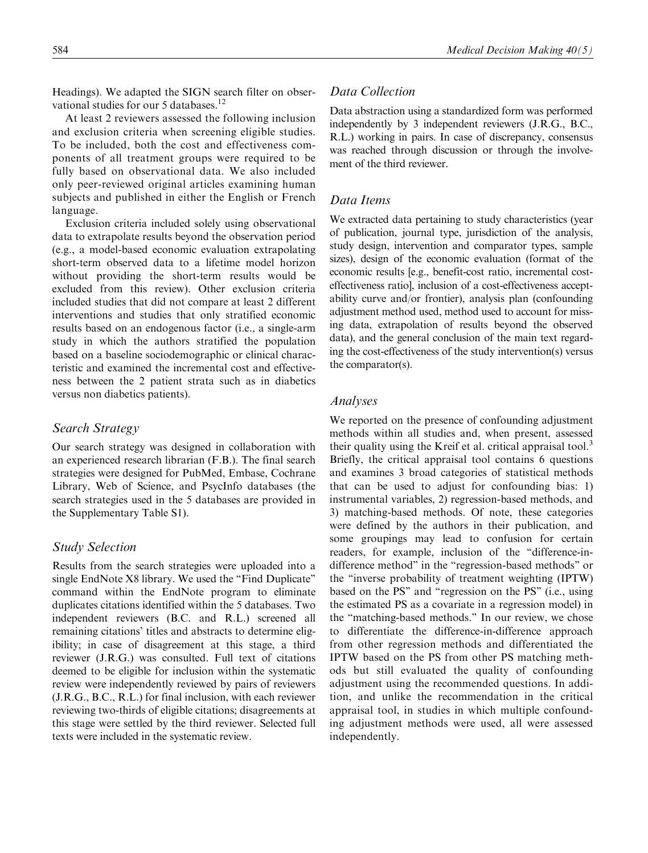Headings). We adapted the SIGN search filter on observational studies for our 5 databases.<sup>12</sup>

At least 2 reviewers assessed the following inclusion and exclusion criteria when screening eligible studies. To be included, both the cost and effectiveness components of all treatment groups were required to be fully based on observational data. We also included only peer-reviewed original articles examining human subjects and published in either the English or French language.

Exclusion criteria included solely using observational data to extrapolate results beyond the observation period (e.g., a model-based economic evaluation extrapolating short-term observed data to a lifetime model horizon without providing the short-term results would be excluded from this review). Other exclusion criteria included studies that did not compare at least 2 different interventions and studies that only stratified economic results based on an endogenous factor (i.e., a single-arm study in which the authors stratified the population based on a baseline sociodemographic or clinical characteristic and examined the incremental cost and effectiveness between the 2 patient strata such as in diabetics versus non diabetics patients).

### Search Strategy

Our search strategy was designed in collaboration with an experienced research librarian (F.B.). The final search strategies were designed for PubMed, Embase, Cochrane Library, Web of Science, and PsycInfo databases (the search strategies used in the 5 databases are provided in the Supplementary Table S1).

### Study Selection

Results from the search strategies were uploaded into a single EndNote X8 library. We used the "Find Duplicate" command within the EndNote program to eliminate duplicates citations identified within the 5 databases. Two independent reviewers (B.C. and R.L.) screened all remaining citations' titles and abstracts to determine eligibility; in case of disagreement at this stage, a third reviewer (J.R.G.) was consulted. Full text of citations deemed to be eligible for inclusion within the systematic review were independently reviewed by pairs of reviewers (J.R.G., B.C., R.L.) for final inclusion, with each reviewer reviewing two-thirds of eligible citations; disagreements at this stage were settled by the third reviewer. Selected full texts were included in the systematic review.

### Data Collection

Data abstraction using a standardized form was performed independently by 3 independent reviewers (J.R.G., B.C., R.L.) working in pairs. In case of discrepancy, consensus was reached through discussion or through the involvement of the third reviewer.

## Data Items

We extracted data pertaining to study characteristics (year of publication, journal type, jurisdiction of the analysis, study design, intervention and comparator types, sample sizes), design of the economic evaluation (format of the economic results [e.g., benefit-cost ratio, incremental costeffectiveness ratio], inclusion of a cost-effectiveness acceptability curve and/or frontier), analysis plan (confounding adjustment method used, method used to account for missing data, extrapolation of results beyond the observed data), and the general conclusion of the main text regarding the cost-effectiveness of the study intervention(s) versus the comparator(s).

### Analyses

We reported on the presence of confounding adjustment methods within all studies and, when present, assessed their quality using the Kreif et al. critical appraisal tool.<sup>3</sup> Briefly, the critical appraisal tool contains 6 questions and examines 3 broad categories of statistical methods that can be used to adjust for confounding bias: 1) instrumental variables, 2) regression-based methods, and 3) matching-based methods. Of note, these categories were defined by the authors in their publication, and some groupings may lead to confusion for certain readers, for example, inclusion of the ''difference-indifference method'' in the ''regression-based methods'' or the ''inverse probability of treatment weighting (IPTW) based on the PS'' and ''regression on the PS'' (i.e., using the estimated PS as a covariate in a regression model) in the ''matching-based methods.'' In our review, we chose to differentiate the difference-in-difference approach from other regression methods and differentiated the IPTW based on the PS from other PS matching methods but still evaluated the quality of confounding adjustment using the recommended questions. In addition, and unlike the recommendation in the critical appraisal tool, in studies in which multiple confounding adjustment methods were used, all were assessed independently.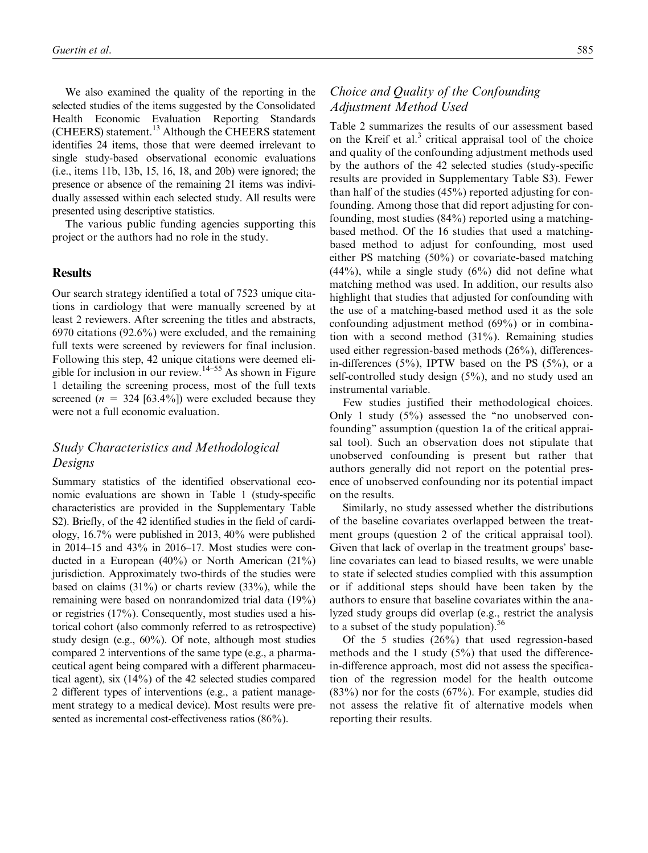We also examined the quality of the reporting in the selected studies of the items suggested by the Consolidated Health Economic Evaluation Reporting Standards (CHEERS) statement.<sup>13</sup> Although the CHEERS statement identifies 24 items, those that were deemed irrelevant to single study-based observational economic evaluations (i.e., items 11b, 13b, 15, 16, 18, and 20b) were ignored; the presence or absence of the remaining 21 items was individually assessed within each selected study. All results were presented using descriptive statistics.

The various public funding agencies supporting this project or the authors had no role in the study.

### **Results**

Our search strategy identified a total of 7523 unique citations in cardiology that were manually screened by at least 2 reviewers. After screening the titles and abstracts, 6970 citations (92.6%) were excluded, and the remaining full texts were screened by reviewers for final inclusion. Following this step, 42 unique citations were deemed eligible for inclusion in our review.<sup>14–55</sup> As shown in Figure 1 detailing the screening process, most of the full texts screened ( $n = 324$  [63.4%]) were excluded because they were not a full economic evaluation.

# Study Characteristics and Methodological Designs

Summary statistics of the identified observational economic evaluations are shown in Table 1 (study-specific characteristics are provided in the Supplementary Table S2). Briefly, of the 42 identified studies in the field of cardiology, 16.7% were published in 2013, 40% were published in 2014–15 and 43% in 2016–17. Most studies were conducted in a European (40%) or North American (21%) jurisdiction. Approximately two-thirds of the studies were based on claims  $(31\%)$  or charts review  $(33\%)$ , while the remaining were based on nonrandomized trial data (19%) or registries (17%). Consequently, most studies used a historical cohort (also commonly referred to as retrospective) study design (e.g.,  $60\%$ ). Of note, although most studies compared 2 interventions of the same type (e.g., a pharmaceutical agent being compared with a different pharmaceutical agent), six (14%) of the 42 selected studies compared 2 different types of interventions (e.g., a patient management strategy to a medical device). Most results were presented as incremental cost-effectiveness ratios (86%).

# Choice and Quality of the Confounding Adjustment Method Used

Table 2 summarizes the results of our assessment based on the Kreif et al.<sup>3</sup> critical appraisal tool of the choice and quality of the confounding adjustment methods used by the authors of the 42 selected studies (study-specific results are provided in Supplementary Table S3). Fewer than half of the studies (45%) reported adjusting for confounding. Among those that did report adjusting for confounding, most studies (84%) reported using a matchingbased method. Of the 16 studies that used a matchingbased method to adjust for confounding, most used either PS matching (50%) or covariate-based matching  $(44\%)$ , while a single study  $(6\%)$  did not define what matching method was used. In addition, our results also highlight that studies that adjusted for confounding with the use of a matching-based method used it as the sole confounding adjustment method (69%) or in combination with a second method (31%). Remaining studies used either regression-based methods (26%), differencesin-differences  $(5\%)$ , IPTW based on the PS  $(5\%)$ , or a self-controlled study design (5%), and no study used an instrumental variable.

Few studies justified their methodological choices. Only 1 study  $(5\%)$  assessed the "no unobserved confounding'' assumption (question 1a of the critical appraisal tool). Such an observation does not stipulate that unobserved confounding is present but rather that authors generally did not report on the potential presence of unobserved confounding nor its potential impact on the results.

Similarly, no study assessed whether the distributions of the baseline covariates overlapped between the treatment groups (question 2 of the critical appraisal tool). Given that lack of overlap in the treatment groups' baseline covariates can lead to biased results, we were unable to state if selected studies complied with this assumption or if additional steps should have been taken by the authors to ensure that baseline covariates within the analyzed study groups did overlap (e.g., restrict the analysis to a subset of the study population). $56$ 

Of the 5 studies (26%) that used regression-based methods and the 1 study (5%) that used the differencein-difference approach, most did not assess the specification of the regression model for the health outcome (83%) nor for the costs (67%). For example, studies did not assess the relative fit of alternative models when reporting their results.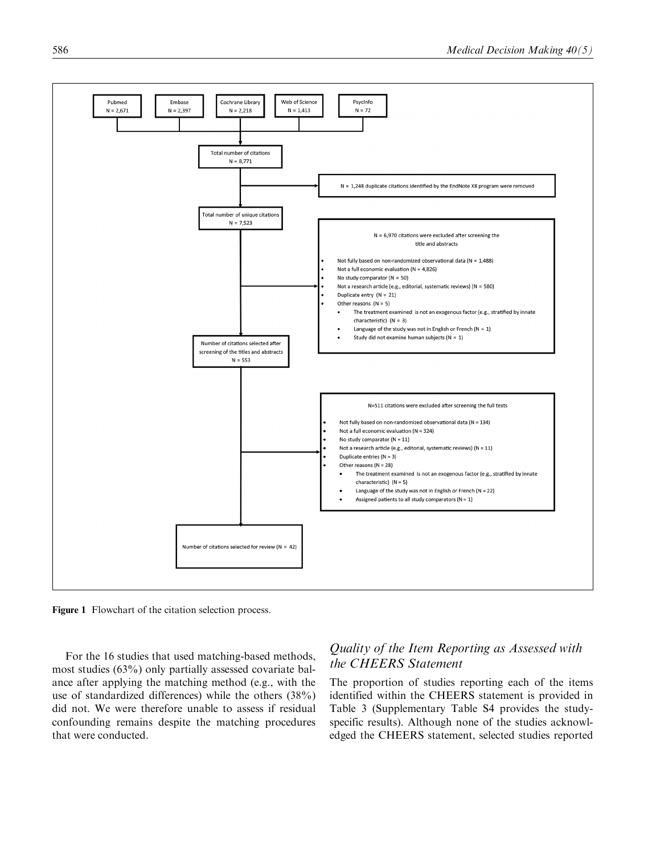

Figure 1 Flowchart of the citation selection process.

For the 16 studies that used matching-based methods, most studies (63%) only partially assessed covariate balance after applying the matching method (e.g., with the use of standardized differences) while the others (38%) did not. We were therefore unable to assess if residual confounding remains despite the matching procedures that were conducted.

# Quality of the Item Reporting as Assessed with the CHEERS Statement

The proportion of studies reporting each of the items identified within the CHEERS statement is provided in Table 3 (Supplementary Table S4 provides the studyspecific results). Although none of the studies acknowledged the CHEERS statement, selected studies reported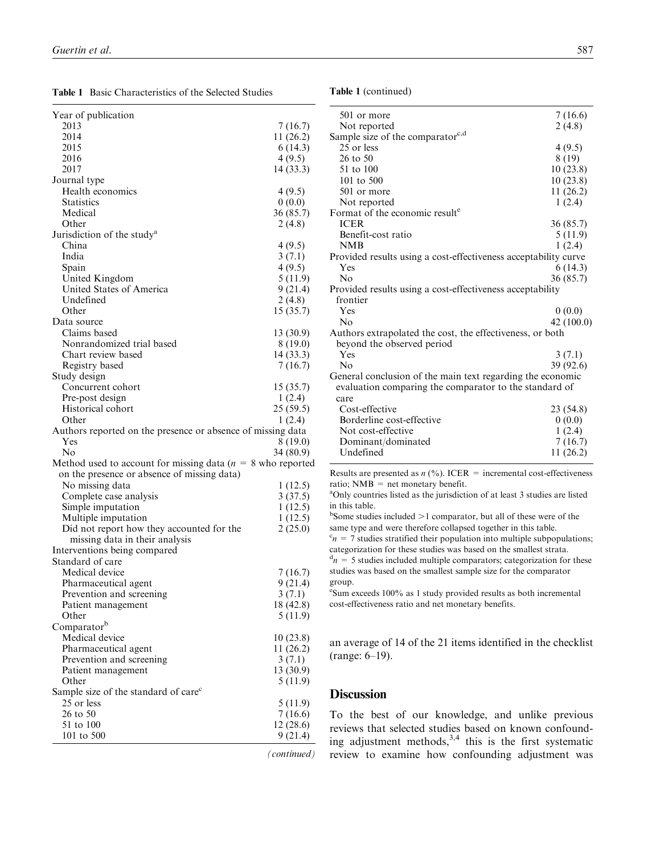Table 1 Basic Characteristics of the Selected Studies

| Year of publication                                            |           |
|----------------------------------------------------------------|-----------|
| 2013                                                           | 7(16.7)   |
| 2014                                                           | 11(26.2)  |
| 2015                                                           | 6(14.3)   |
| 2016                                                           | 4(9.5)    |
| 2017                                                           | 14 (33.3) |
| Journal type                                                   |           |
| Health economics                                               | 4(9.5)    |
| <b>Statistics</b>                                              |           |
|                                                                | 0(0.0)    |
| Medical                                                        | 36 (85.7) |
| Other                                                          | 2(4.8)    |
| Jurisdiction of the study <sup>a</sup>                         |           |
| China                                                          | 4(9.5)    |
| India                                                          | 3(7.1)    |
| Spain                                                          | 4(9.5)    |
| United Kingdom                                                 | 5(11.9)   |
| United States of America                                       | 9(21.4)   |
| Undefined                                                      | 2(4.8)    |
| Other                                                          | 15(35.7)  |
| Data source                                                    |           |
| Claims based                                                   | 13 (30.9) |
| Nonrandomized trial based                                      | 8(19.0)   |
| Chart review based                                             | 14(33.3)  |
| Registry based                                                 | 7(16.7)   |
| Study design                                                   |           |
| Concurrent cohort                                              | 15(35.7)  |
| Pre-post design                                                | 1(2.4)    |
| Historical cohort                                              | 25(59.5)  |
| Other                                                          | 1(2.4)    |
| Authors reported on the presence or absence of missing data    |           |
| Yes                                                            | 8(19.0)   |
| N <sub>0</sub>                                                 | 34 (80.9) |
| Method used to account for missing data ( $n = 8$ who reported |           |
| on the presence or absence of missing data)                    |           |
| No missing data                                                | 1(12.5)   |
| Complete case analysis                                         | 3(37.5)   |
|                                                                | 1(12.5)   |
| Simple imputation                                              |           |
| Multiple imputation                                            | 1(12.5)   |
| Did not report how they accounted for the                      | 2(25.0)   |
| missing data in their analysis                                 |           |
| Interventions being compared                                   |           |
| Standard of care                                               |           |
| Medical device                                                 | 7(16.7)   |
| Pharmaceutical agent                                           | 9(21.4)   |
| Prevention and screening                                       | 3(7.1)    |
| Patient management                                             | 18 (42.8) |
| Other                                                          | 5 (11.9)  |
| Comparator <sup>b</sup>                                        |           |
| Medical device                                                 | 10(23.8)  |
| Pharmaceutical agent                                           | 11(26.2)  |
| Prevention and screening                                       | 3(7.1)    |
| Patient management                                             | 13 (30.9) |
| Other                                                          | 5 (11.9)  |
| Sample size of the standard of care <sup>c</sup>               |           |
| 25 or less                                                     | 5 (11.9)  |
| 26 to 50                                                       | 7 (16.6)  |
| 51 to 100                                                      | 12 (28.6) |
| 101 to 500                                                     | 9(21.4)   |
|                                                                |           |

Table 1 (continued)

| 501 or more                                                     | 7(16.6)   |
|-----------------------------------------------------------------|-----------|
| Not reported                                                    | 2(4.8)    |
| Sample size of the comparator <sup>c,d</sup>                    |           |
| 25 or less                                                      | 4(9.5)    |
| 26 to 50                                                        | 8 (19)    |
| 51 to 100                                                       | 10(23.8)  |
| 101 to 500                                                      | 10(23.8)  |
| 501 or more                                                     | 11 (26.2) |
| Not reported                                                    | 1(2.4)    |
| Format of the economic result <sup>e</sup>                      |           |
| <b>ICER</b>                                                     | 36 (85.7) |
| Benefit-cost ratio                                              | 5(11.9)   |
| <b>NMB</b>                                                      | 1(2.4)    |
| Provided results using a cost-effectiveness acceptability curve |           |
| Yes                                                             | 6(14.3)   |
| No                                                              | 36 (85.7) |
| Provided results using a cost-effectiveness acceptability       |           |
| frontier                                                        |           |
| Yes                                                             | 0(0.0)    |
| No                                                              | 42(100.0) |
| Authors extrapolated the cost, the effectiveness, or both       |           |
| beyond the observed period                                      |           |
| Yes                                                             | 3(7.1)    |
| No                                                              | 39 (92.6) |
| General conclusion of the main text regarding the economic      |           |
| evaluation comparing the comparator to the standard of          |           |
| care                                                            |           |
| Cost-effective                                                  | 23 (54.8) |
| Borderline cost-effective                                       | 0(0.0)    |
| Not cost-effective                                              | 1(2.4)    |
| Dominant/dominated                                              | 7(16.7)   |
| Undefined                                                       | 11 (26.2) |

Results are presented as  $n$  (%). ICER = incremental cost-effectiveness ratio; NMB = net monetary benefit.

<sup>a</sup>Only countries listed as the jurisdiction of at least 3 studies are listed in this table.

 $b$ Some studies included  $>1$  comparator, but all of these were of the same type and were therefore collapsed together in this table.  $c_n = 7$  studies stratified their population into multiple subpopulations; categorization for these studies was based on the smallest strata.  $\sigma_n$ <sup>d</sup> $n = 5$  studies included multiple comparators; categorization for these studies was based on the smallest sample size for the comparator group.

e Sum exceeds 100% as 1 study provided results as both incremental cost-effectiveness ratio and net monetary benefits.

an average of 14 of the 21 items identified in the checklist (range: 6–19).

### **Discussion**

(continued)

To the best of our knowledge, and unlike previous reviews that selected studies based on known confounding adjustment methods,  $3,4$  this is the first systematic review to examine how confounding adjustment was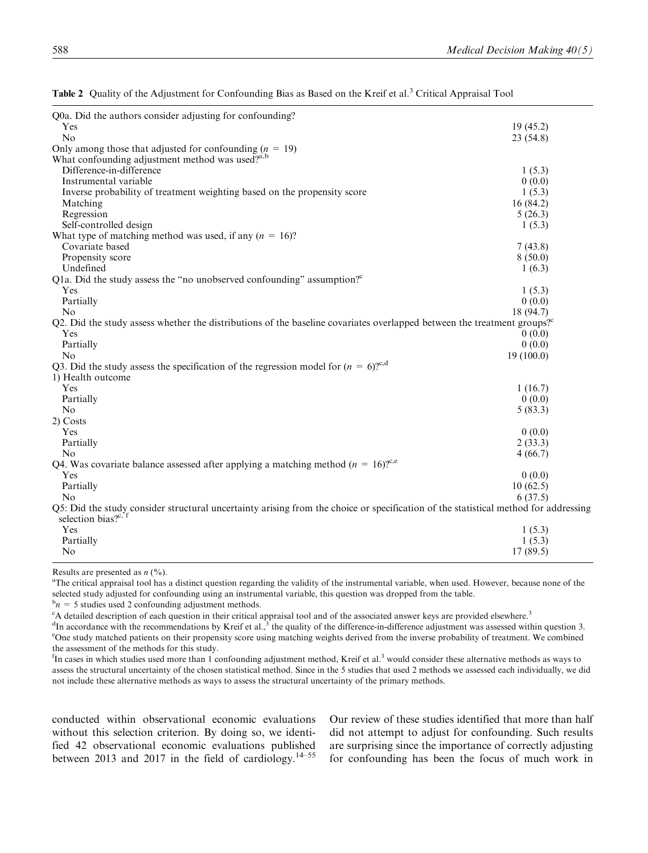| Q0a. Did the authors consider adjusting for confounding?                                                                            |           |
|-------------------------------------------------------------------------------------------------------------------------------------|-----------|
| Yes                                                                                                                                 | 19(45.2)  |
| No                                                                                                                                  | 23(54.8)  |
| Only among those that adjusted for confounding $(n = 19)$                                                                           |           |
| What confounding adjustment method was used? <sup>a,b</sup>                                                                         |           |
| Difference-in-difference                                                                                                            | 1(5.3)    |
| Instrumental variable                                                                                                               | 0(0.0)    |
| Inverse probability of treatment weighting based on the propensity score                                                            | 1(5.3)    |
| Matching                                                                                                                            | 16(84.2)  |
| Regression                                                                                                                          | 5(26.3)   |
| Self-controlled design                                                                                                              | 1(5.3)    |
| What type of matching method was used, if any $(n = 16)$ ?                                                                          |           |
| Covariate based                                                                                                                     | 7(43.8)   |
| Propensity score                                                                                                                    | 8(50.0)   |
| Undefined                                                                                                                           | 1(6.3)    |
| Q1a. Did the study assess the "no unobserved confounding" assumption? <sup>c</sup>                                                  |           |
| Yes                                                                                                                                 | 1(5.3)    |
| Partially                                                                                                                           | 0(0.0)    |
| No                                                                                                                                  | 18 (94.7) |
| Q2. Did the study assess whether the distributions of the baseline covariates overlapped between the treatment groups?              |           |
| Yes                                                                                                                                 | 0(0.0)    |
| Partially                                                                                                                           | 0(0.0)    |
| No                                                                                                                                  | 19(100.0) |
| Q3. Did the study assess the specification of the regression model for $(n = 6)$ <sup>o</sup> . <sup>d</sup>                        |           |
| 1) Health outcome                                                                                                                   |           |
| Yes                                                                                                                                 | 1(16.7)   |
| Partially                                                                                                                           | 0(0.0)    |
| No                                                                                                                                  | 5(83.3)   |
| 2) Costs                                                                                                                            |           |
| Yes                                                                                                                                 | 0(0.0)    |
| Partially                                                                                                                           | 2(33.3)   |
| No                                                                                                                                  | 4(66.7)   |
| Q4. Was covariate balance assessed after applying a matching method ( $n = 16$ )? <sup>c,e</sup>                                    |           |
| Yes                                                                                                                                 | 0(0.0)    |
| Partially                                                                                                                           | 10(62.5)  |
| No                                                                                                                                  | 6(37.5)   |
| Q5: Did the study consider structural uncertainty arising from the choice or specification of the statistical method for addressing |           |
| selection bias? <sup>c, f</sup>                                                                                                     |           |
| Yes                                                                                                                                 | 1(5.3)    |
| Partially                                                                                                                           | 1(5.3)    |
| N <sub>o</sub>                                                                                                                      | 17(89.5)  |
|                                                                                                                                     |           |

Table 2 Quality of the Adjustment for Confounding Bias as Based on the Kreif et al.<sup>3</sup> Critical Appraisal Tool

Results are presented as  $n$  (%).

<sup>a</sup>The critical appraisal tool has a distinct question regarding the validity of the instrumental variable, when used. However, because none of the selected study adjusted for confounding using an instrumental variable, this question was dropped from the table.

 $b_n = 5$  studies used 2 confounding adjustment methods.

<sup>c</sup>A detailed description of each question in their critical appraisal tool and of the associated answer keys are provided elsewhere.<sup>3</sup>

<sup>d</sup>In accordance with the recommendations by Kreif et al.,<sup>3</sup> the quality of the difference-in-difference adjustment was assessed within question 3.<br><sup>e</sup>One study matched patients on their propensity score using matching w <sup>e</sup>One study matched patients on their propensity score using matching weights derived from the inverse probability of treatment. We combined the assessment of the methods for this study.

<sup>f</sup>In cases in which studies used more than 1 confounding adjustment method, Kreif et al.<sup>3</sup> would consider these alternative methods as ways to assess the structural uncertainty of the chosen statistical method. Since in the 5 studies that used 2 methods we assessed each individually, we did not include these alternative methods as ways to assess the structural uncertainty of the primary methods.

conducted within observational economic evaluations without this selection criterion. By doing so, we identified 42 observational economic evaluations published between 2013 and 2017 in the field of cardiology.14–55 Our review of these studies identified that more than half did not attempt to adjust for confounding. Such results are surprising since the importance of correctly adjusting for confounding has been the focus of much work in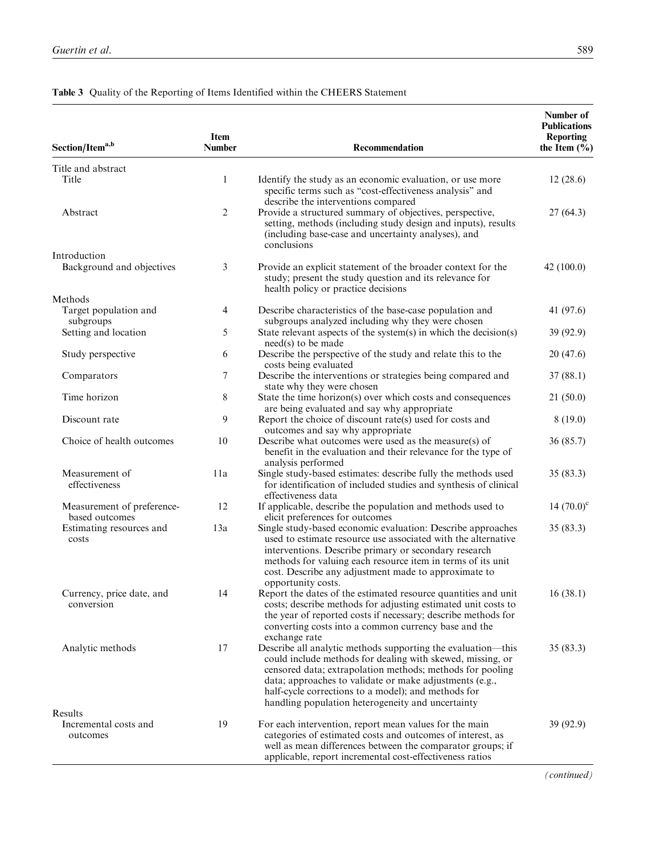| Section/Item <sup>a,b</sup>                  | <b>Item</b><br><b>Number</b> | Recommendation                                                                                                                                                                                                                                                                                                                                                 | Number of<br><b>Publications</b><br>Reporting<br>the Item $(\% )$ |
|----------------------------------------------|------------------------------|----------------------------------------------------------------------------------------------------------------------------------------------------------------------------------------------------------------------------------------------------------------------------------------------------------------------------------------------------------------|-------------------------------------------------------------------|
|                                              |                              |                                                                                                                                                                                                                                                                                                                                                                |                                                                   |
| Title and abstract<br>Title                  | $\mathbf{1}$                 | Identify the study as an economic evaluation, or use more<br>specific terms such as "cost-effectiveness analysis" and                                                                                                                                                                                                                                          | 12(28.6)                                                          |
| Abstract                                     | 2                            | describe the interventions compared<br>Provide a structured summary of objectives, perspective,<br>setting, methods (including study design and inputs), results<br>(including base-case and uncertainty analyses), and<br>conclusions                                                                                                                         | 27(64.3)                                                          |
| Introduction<br>Background and objectives    | 3                            | Provide an explicit statement of the broader context for the<br>study; present the study question and its relevance for<br>health policy or practice decisions                                                                                                                                                                                                 | 42(100.0)                                                         |
| Methods                                      |                              |                                                                                                                                                                                                                                                                                                                                                                |                                                                   |
| Target population and<br>subgroups           | 4                            | Describe characteristics of the base-case population and<br>subgroups analyzed including why they were chosen                                                                                                                                                                                                                                                  | 41 (97.6)                                                         |
| Setting and location                         | 5                            | State relevant aspects of the system(s) in which the decision(s)<br>$need(s)$ to be made                                                                                                                                                                                                                                                                       | 39 (92.9)                                                         |
| Study perspective                            | 6                            | Describe the perspective of the study and relate this to the<br>costs being evaluated                                                                                                                                                                                                                                                                          | 20(47.6)                                                          |
| Comparators                                  | 7                            | Describe the interventions or strategies being compared and                                                                                                                                                                                                                                                                                                    | 37(88.1)                                                          |
| Time horizon                                 | 8                            | state why they were chosen<br>State the time horizon(s) over which costs and consequences                                                                                                                                                                                                                                                                      | 21(50.0)                                                          |
| Discount rate                                | 9                            | are being evaluated and say why appropriate<br>Report the choice of discount rate(s) used for costs and                                                                                                                                                                                                                                                        | 8(19.0)                                                           |
| Choice of health outcomes                    | 10                           | outcomes and say why appropriate<br>Describe what outcomes were used as the measure(s) of<br>benefit in the evaluation and their relevance for the type of                                                                                                                                                                                                     | 36(85.7)                                                          |
| Measurement of<br>effectiveness              | 11a                          | analysis performed<br>Single study-based estimates: describe fully the methods used<br>for identification of included studies and synthesis of clinical<br>effectiveness data                                                                                                                                                                                  | 35(83.3)                                                          |
| Measurement of preference-<br>based outcomes | 12                           | If applicable, describe the population and methods used to<br>elicit preferences for outcomes                                                                                                                                                                                                                                                                  | 14 $(70.0)^{\circ}$                                               |
| Estimating resources and<br>costs            | 13a                          | Single study-based economic evaluation: Describe approaches<br>used to estimate resource use associated with the alternative<br>interventions. Describe primary or secondary research<br>methods for valuing each resource item in terms of its unit<br>cost. Describe any adjustment made to approximate to<br>opportunity costs.                             | 35(83.3)                                                          |
| Currency, price date, and<br>conversion      | 14                           | Report the dates of the estimated resource quantities and unit<br>costs; describe methods for adjusting estimated unit costs to<br>the year of reported costs if necessary; describe methods for<br>converting costs into a common currency base and the<br>exchange rate                                                                                      | 16(38.1)                                                          |
| Analytic methods                             | 17                           | Describe all analytic methods supporting the evaluation-this<br>could include methods for dealing with skewed, missing, or<br>censored data; extrapolation methods; methods for pooling<br>data; approaches to validate or make adjustments (e.g.,<br>half-cycle corrections to a model); and methods for<br>handling population heterogeneity and uncertainty | 35(83.3)                                                          |
| Results<br>Incremental costs and<br>outcomes | 19                           | For each intervention, report mean values for the main<br>categories of estimated costs and outcomes of interest, as<br>well as mean differences between the comparator groups; if<br>applicable, report incremental cost-effectiveness ratios                                                                                                                 | 39 (92.9)                                                         |

### Table 3 Quality of the Reporting of Items Identified within the CHEERS Statement

(continued)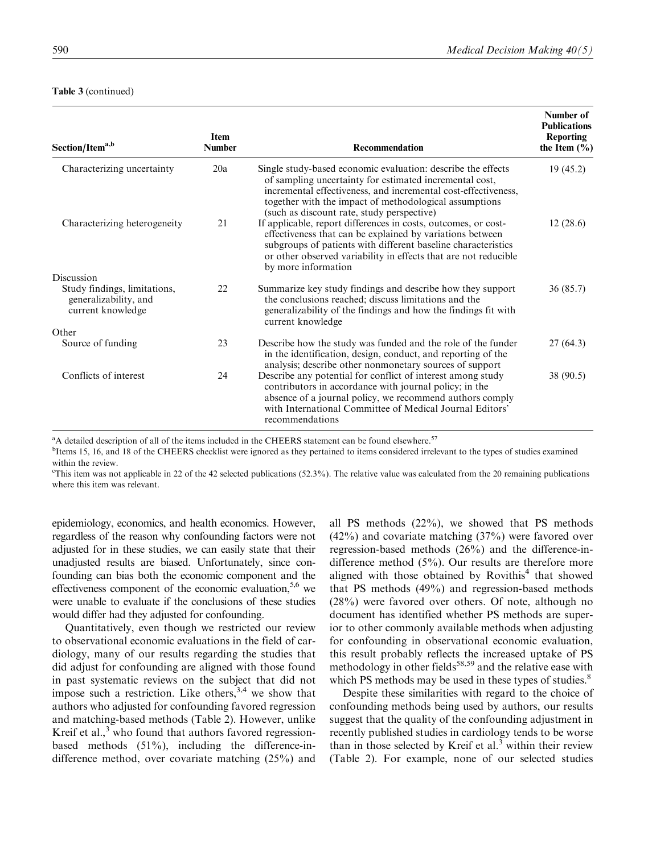#### Table 3 (continued)

| Section/Item <sup>a,b</sup>                                                              | <b>Item</b><br><b>Number</b> | <b>Recommendation</b>                                                                                                                                                                                                                                                                             | Number of<br><b>Publications</b><br><b>Reporting</b><br>the Item $(\% )$ |
|------------------------------------------------------------------------------------------|------------------------------|---------------------------------------------------------------------------------------------------------------------------------------------------------------------------------------------------------------------------------------------------------------------------------------------------|--------------------------------------------------------------------------|
| Characterizing uncertainty                                                               | 20a                          | Single study-based economic evaluation: describe the effects<br>of sampling uncertainty for estimated incremental cost,<br>incremental effectiveness, and incremental cost-effectiveness,<br>together with the impact of methodological assumptions<br>(such as discount rate, study perspective) | 19(45.2)                                                                 |
| Characterizing heterogeneity                                                             | 21                           | If applicable, report differences in costs, outcomes, or cost-<br>effectiveness that can be explained by variations between<br>subgroups of patients with different baseline characteristics<br>or other observed variability in effects that are not reducible<br>by more information            | 12(28.6)                                                                 |
| Discussion<br>Study findings, limitations,<br>generalizability, and<br>current knowledge | 22                           | Summarize key study findings and describe how they support<br>the conclusions reached; discuss limitations and the<br>generalizability of the findings and how the findings fit with<br>current knowledge                                                                                         | 36 (85.7)                                                                |
| Other                                                                                    |                              |                                                                                                                                                                                                                                                                                                   |                                                                          |
| Source of funding                                                                        | 23                           | Describe how the study was funded and the role of the funder<br>in the identification, design, conduct, and reporting of the<br>analysis; describe other nonmonetary sources of support                                                                                                           | 27(64.3)                                                                 |
| Conflicts of interest                                                                    | 24                           | Describe any potential for conflict of interest among study<br>contributors in accordance with journal policy; in the<br>absence of a journal policy, we recommend authors comply<br>with International Committee of Medical Journal Editors'<br>recommendations                                  | 38 (90.5)                                                                |

<sup>a</sup>A detailed description of all of the items included in the CHEERS statement can be found elsewhere.<sup>57</sup>

<sup>b</sup>Items 15, 16, and 18 of the CHEERS checklist were ignored as they pertained to items considered irrelevant to the types of studies examined within the review.

c This item was not applicable in 22 of the 42 selected publications (52.3%). The relative value was calculated from the 20 remaining publications where this item was relevant.

epidemiology, economics, and health economics. However, regardless of the reason why confounding factors were not adjusted for in these studies, we can easily state that their unadjusted results are biased. Unfortunately, since confounding can bias both the economic component and the effectiveness component of the economic evaluation,<sup>5,6</sup> we were unable to evaluate if the conclusions of these studies would differ had they adjusted for confounding.

Quantitatively, even though we restricted our review to observational economic evaluations in the field of cardiology, many of our results regarding the studies that did adjust for confounding are aligned with those found in past systematic reviews on the subject that did not impose such a restriction. Like others,  $3,4$  we show that authors who adjusted for confounding favored regression and matching-based methods (Table 2). However, unlike Kreif et al., $<sup>3</sup>$  who found that authors favored regression-</sup> based methods (51%), including the difference-indifference method, over covariate matching (25%) and all PS methods (22%), we showed that PS methods (42%) and covariate matching (37%) were favored over regression-based methods (26%) and the difference-indifference method (5%). Our results are therefore more aligned with those obtained by  $Rowithis<sup>4</sup>$  that showed that PS methods (49%) and regression-based methods (28%) were favored over others. Of note, although no document has identified whether PS methods are superior to other commonly available methods when adjusting for confounding in observational economic evaluation, this result probably reflects the increased uptake of PS methodology in other fields<sup>58,59</sup> and the relative ease with which PS methods may be used in these types of studies.<sup>8</sup>

Despite these similarities with regard to the choice of confounding methods being used by authors, our results suggest that the quality of the confounding adjustment in recently published studies in cardiology tends to be worse than in those selected by Kreif et al.<sup>3</sup> within their review (Table 2). For example, none of our selected studies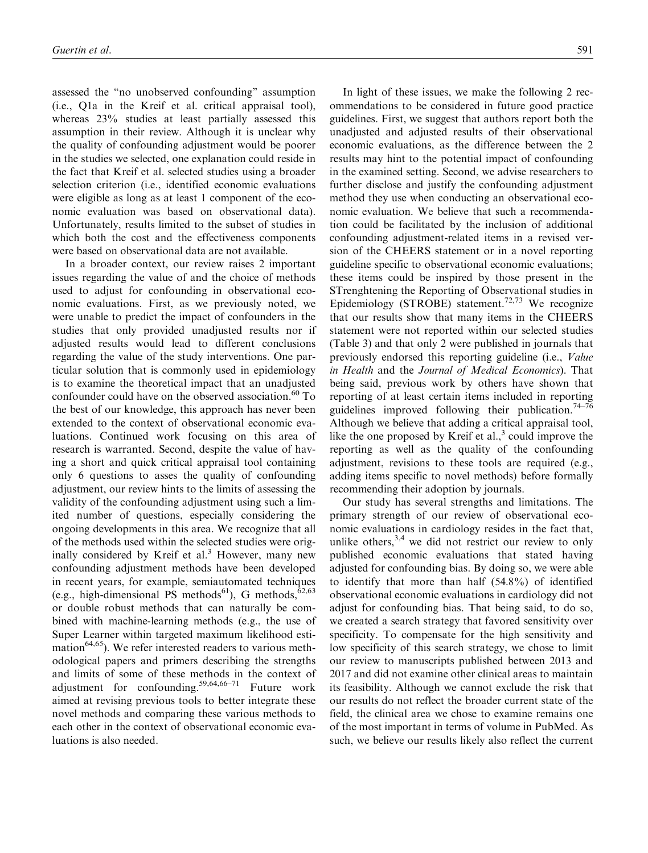assessed the ''no unobserved confounding'' assumption (i.e., Q1a in the Kreif et al. critical appraisal tool), whereas 23% studies at least partially assessed this assumption in their review. Although it is unclear why the quality of confounding adjustment would be poorer in the studies we selected, one explanation could reside in the fact that Kreif et al. selected studies using a broader selection criterion (i.e., identified economic evaluations were eligible as long as at least 1 component of the economic evaluation was based on observational data). Unfortunately, results limited to the subset of studies in which both the cost and the effectiveness components were based on observational data are not available.

In a broader context, our review raises 2 important issues regarding the value of and the choice of methods used to adjust for confounding in observational economic evaluations. First, as we previously noted, we were unable to predict the impact of confounders in the studies that only provided unadjusted results nor if adjusted results would lead to different conclusions regarding the value of the study interventions. One particular solution that is commonly used in epidemiology is to examine the theoretical impact that an unadjusted confounder could have on the observed association.<sup>60</sup> To the best of our knowledge, this approach has never been extended to the context of observational economic evaluations. Continued work focusing on this area of research is warranted. Second, despite the value of having a short and quick critical appraisal tool containing only 6 questions to asses the quality of confounding adjustment, our review hints to the limits of assessing the validity of the confounding adjustment using such a limited number of questions, especially considering the ongoing developments in this area. We recognize that all of the methods used within the selected studies were originally considered by Kreif et al. $3$  However, many new confounding adjustment methods have been developed in recent years, for example, semiautomated techniques (e.g., high-dimensional PS methods<sup>61</sup>), G methods,  $62,63$ or double robust methods that can naturally be combined with machine-learning methods (e.g., the use of Super Learner within targeted maximum likelihood estimation<sup>64,65</sup>). We refer interested readers to various methodological papers and primers describing the strengths and limits of some of these methods in the context of adjustment for confounding.59,64,66–71 Future work aimed at revising previous tools to better integrate these novel methods and comparing these various methods to each other in the context of observational economic evaluations is also needed.

In light of these issues, we make the following 2 recommendations to be considered in future good practice guidelines. First, we suggest that authors report both the unadjusted and adjusted results of their observational economic evaluations, as the difference between the 2 results may hint to the potential impact of confounding in the examined setting. Second, we advise researchers to further disclose and justify the confounding adjustment method they use when conducting an observational economic evaluation. We believe that such a recommendation could be facilitated by the inclusion of additional confounding adjustment-related items in a revised version of the CHEERS statement or in a novel reporting guideline specific to observational economic evaluations; these items could be inspired by those present in the STrenghtening the Reporting of Observational studies in Epidemiology (STROBE) statement.<sup>72,73</sup> We recognize that our results show that many items in the CHEERS statement were not reported within our selected studies (Table 3) and that only 2 were published in journals that previously endorsed this reporting guideline (i.e., Value in Health and the Journal of Medical Economics). That being said, previous work by others have shown that reporting of at least certain items included in reporting guidelines improved following their publication.<sup>74–76</sup> Although we believe that adding a critical appraisal tool, like the one proposed by Kreif et al., $\frac{3}{2}$  could improve the reporting as well as the quality of the confounding adjustment, revisions to these tools are required (e.g., adding items specific to novel methods) before formally recommending their adoption by journals.

Our study has several strengths and limitations. The primary strength of our review of observational economic evaluations in cardiology resides in the fact that, unlike others,  $3,4$  we did not restrict our review to only published economic evaluations that stated having adjusted for confounding bias. By doing so, we were able to identify that more than half (54.8%) of identified observational economic evaluations in cardiology did not adjust for confounding bias. That being said, to do so, we created a search strategy that favored sensitivity over specificity. To compensate for the high sensitivity and low specificity of this search strategy, we chose to limit our review to manuscripts published between 2013 and 2017 and did not examine other clinical areas to maintain its feasibility. Although we cannot exclude the risk that our results do not reflect the broader current state of the field, the clinical area we chose to examine remains one of the most important in terms of volume in PubMed. As such, we believe our results likely also reflect the current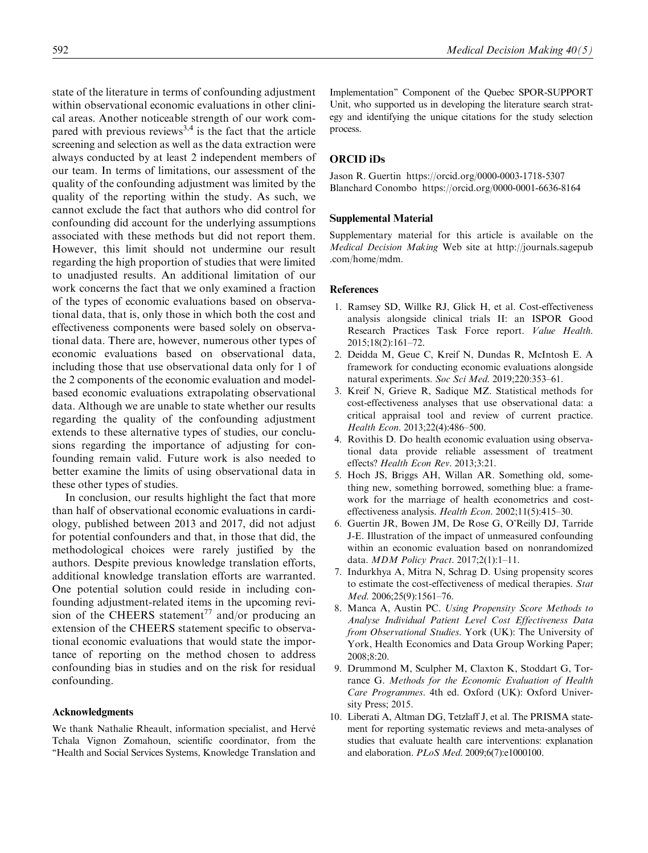state of the literature in terms of confounding adjustment within observational economic evaluations in other clinical areas. Another noticeable strength of our work compared with previous reviews<sup>3,4</sup> is the fact that the article screening and selection as well as the data extraction were always conducted by at least 2 independent members of our team. In terms of limitations, our assessment of the quality of the confounding adjustment was limited by the quality of the reporting within the study. As such, we cannot exclude the fact that authors who did control for confounding did account for the underlying assumptions associated with these methods but did not report them. However, this limit should not undermine our result regarding the high proportion of studies that were limited to unadjusted results. An additional limitation of our work concerns the fact that we only examined a fraction of the types of economic evaluations based on observational data, that is, only those in which both the cost and effectiveness components were based solely on observational data. There are, however, numerous other types of economic evaluations based on observational data, including those that use observational data only for 1 of the 2 components of the economic evaluation and modelbased economic evaluations extrapolating observational data. Although we are unable to state whether our results regarding the quality of the confounding adjustment extends to these alternative types of studies, our conclusions regarding the importance of adjusting for confounding remain valid. Future work is also needed to better examine the limits of using observational data in these other types of studies.

In conclusion, our results highlight the fact that more than half of observational economic evaluations in cardiology, published between 2013 and 2017, did not adjust for potential confounders and that, in those that did, the methodological choices were rarely justified by the authors. Despite previous knowledge translation efforts, additional knowledge translation efforts are warranted. One potential solution could reside in including confounding adjustment-related items in the upcoming revision of the CHEERS statement<sup>77</sup> and/or producing an extension of the CHEERS statement specific to observational economic evaluations that would state the importance of reporting on the method chosen to address confounding bias in studies and on the risk for residual confounding.

#### Acknowledgments

We thank Nathalie Rheault, information specialist, and Hervé Tchala Vignon Zomahoun, scientific coordinator, from the ''Health and Social Services Systems, Knowledge Translation and

Implementation'' Component of the Quebec SPOR-SUPPORT Unit, who supported us in developing the literature search strategy and identifying the unique citations for the study selection process.

#### ORCID iDs

Jason R. Guertin<https://orcid.org/0000-0003-1718-5307> Blanchard Conombo<https://orcid.org/0000-0001-6636-8164>

#### Supplemental Material

Supplementary material for this article is available on the Medical Decision Making Web site at [http://journals.sagepub](http://journals.sagepub.com/home/mdm) [.com/home/mdm](http://journals.sagepub.com/home/mdm).

#### **References**

- 1. Ramsey SD, Willke RJ, Glick H, et al. Cost-effectiveness analysis alongside clinical trials II: an ISPOR Good Research Practices Task Force report. Value Health. 2015;18(2):161–72.
- 2. Deidda M, Geue C, Kreif N, Dundas R, McIntosh E. A framework for conducting economic evaluations alongside natural experiments. Soc Sci Med. 2019;220:353-61.
- 3. Kreif N, Grieve R, Sadique MZ. Statistical methods for cost-effectiveness analyses that use observational data: a critical appraisal tool and review of current practice. Health Econ. 2013;22(4):486–500.
- 4. Rovithis D. Do health economic evaluation using observational data provide reliable assessment of treatment effects? Health Econ Rev. 2013;3:21.
- 5. Hoch JS, Briggs AH, Willan AR. Something old, something new, something borrowed, something blue: a framework for the marriage of health econometrics and costeffectiveness analysis. Health Econ. 2002;11(5):415–30.
- 6. Guertin JR, Bowen JM, De Rose G, O'Reilly DJ, Tarride J-E. Illustration of the impact of unmeasured confounding within an economic evaluation based on nonrandomized data. MDM Policy Pract. 2017;2(1):1–11.
- 7. Indurkhya A, Mitra N, Schrag D. Using propensity scores to estimate the cost-effectiveness of medical therapies. Stat Med. 2006;25(9):1561–76.
- 8. Manca A, Austin PC. Using Propensity Score Methods to Analyse Individual Patient Level Cost Effectiveness Data from Observational Studies. York (UK): The University of York, Health Economics and Data Group Working Paper; 2008;8:20.
- 9. Drummond M, Sculpher M, Claxton K, Stoddart G, Torrance G. Methods for the Economic Evaluation of Health Care Programmes. 4th ed. Oxford (UK): Oxford University Press; 2015.
- 10. Liberati A, Altman DG, Tetzlaff J, et al. The PRISMA statement for reporting systematic reviews and meta-analyses of studies that evaluate health care interventions: explanation and elaboration. PLoS Med. 2009;6(7):e1000100.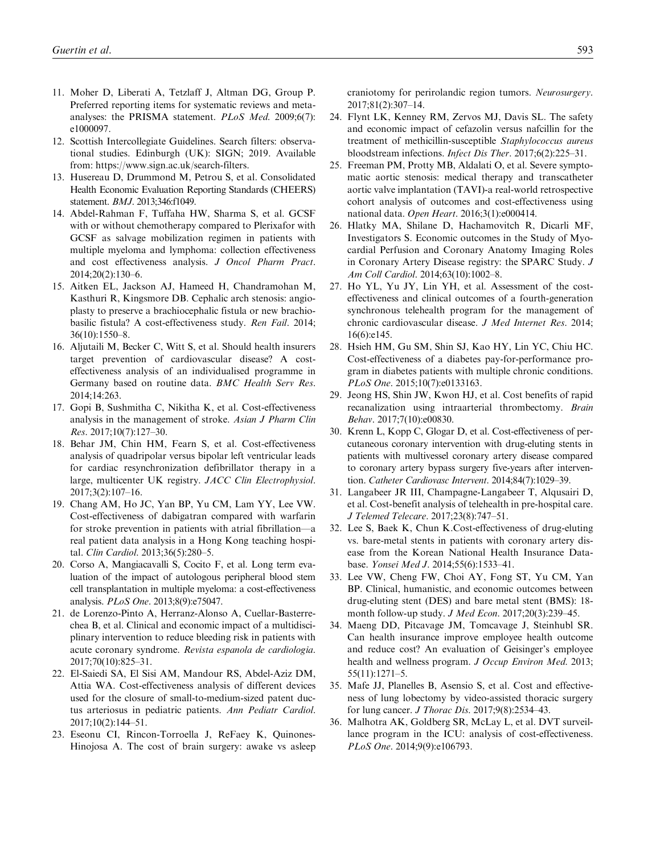- 11. Moher D, Liberati A, Tetzlaff J, Altman DG, Group P. Preferred reporting items for systematic reviews and metaanalyses: the PRISMA statement. PLoS Med. 2009;6(7): e1000097.
- 12. Scottish Intercollegiate Guidelines. Search filters: observational studies. Edinburgh (UK): SIGN; 2019. Available from:<https://www.sign.ac.uk/search-filters>.
- 13. Husereau D, Drummond M, Petrou S, et al. Consolidated Health Economic Evaluation Reporting Standards (CHEERS) statement. BMJ. 2013;346:f1049.
- 14. Abdel-Rahman F, Tuffaha HW, Sharma S, et al. GCSF with or without chemotherapy compared to Plerixafor with GCSF as salvage mobilization regimen in patients with multiple myeloma and lymphoma: collection effectiveness and cost effectiveness analysis. J Oncol Pharm Pract. 2014;20(2):130–6.
- 15. Aitken EL, Jackson AJ, Hameed H, Chandramohan M, Kasthuri R, Kingsmore DB. Cephalic arch stenosis: angioplasty to preserve a brachiocephalic fistula or new brachiobasilic fistula? A cost-effectiveness study. Ren Fail. 2014; 36(10):1550–8.
- 16. Aljutaili M, Becker C, Witt S, et al. Should health insurers target prevention of cardiovascular disease? A costeffectiveness analysis of an individualised programme in Germany based on routine data. BMC Health Serv Res. 2014;14:263.
- 17. Gopi B, Sushmitha C, Nikitha K, et al. Cost-effectiveness analysis in the management of stroke. Asian J Pharm Clin Res. 2017;10(7):127–30.
- 18. Behar JM, Chin HM, Fearn S, et al. Cost-effectiveness analysis of quadripolar versus bipolar left ventricular leads for cardiac resynchronization defibrillator therapy in a large, multicenter UK registry. JACC Clin Electrophysiol. 2017;3(2):107–16.
- 19. Chang AM, Ho JC, Yan BP, Yu CM, Lam YY, Lee VW. Cost-effectiveness of dabigatran compared with warfarin for stroke prevention in patients with atrial fibrillation—a real patient data analysis in a Hong Kong teaching hospital. Clin Cardiol. 2013;36(5):280–5.
- 20. Corso A, Mangiacavalli S, Cocito F, et al. Long term evaluation of the impact of autologous peripheral blood stem cell transplantation in multiple myeloma: a cost-effectiveness analysis. PLoS One. 2013;8(9):e75047.
- 21. de Lorenzo-Pinto A, Herranz-Alonso A, Cuellar-Basterrechea B, et al. Clinical and economic impact of a multidisciplinary intervention to reduce bleeding risk in patients with acute coronary syndrome. Revista espanola de cardiologia. 2017;70(10):825–31.
- 22. El-Saiedi SA, El Sisi AM, Mandour RS, Abdel-Aziz DM, Attia WA. Cost-effectiveness analysis of different devices used for the closure of small-to-medium-sized patent ductus arteriosus in pediatric patients. Ann Pediatr Cardiol. 2017;10(2):144–51.
- 23. Eseonu CI, Rincon-Torroella J, ReFaey K, Quinones-Hinojosa A. The cost of brain surgery: awake vs asleep

craniotomy for perirolandic region tumors. Neurosurgery. 2017;81(2):307–14.

- 24. Flynt LK, Kenney RM, Zervos MJ, Davis SL. The safety and economic impact of cefazolin versus nafcillin for the treatment of methicillin-susceptible Staphylococcus aureus bloodstream infections. Infect Dis Ther. 2017;6(2):225–31.
- 25. Freeman PM, Protty MB, Aldalati O, et al. Severe symptomatic aortic stenosis: medical therapy and transcatheter aortic valve implantation (TAVI)-a real-world retrospective cohort analysis of outcomes and cost-effectiveness using national data. Open Heart. 2016;3(1):e000414.
- 26. Hlatky MA, Shilane D, Hachamovitch R, Dicarli MF, Investigators S. Economic outcomes in the Study of Myocardial Perfusion and Coronary Anatomy Imaging Roles in Coronary Artery Disease registry: the SPARC Study. J Am Coll Cardiol. 2014;63(10):1002–8.
- 27. Ho YL, Yu JY, Lin YH, et al. Assessment of the costeffectiveness and clinical outcomes of a fourth-generation synchronous telehealth program for the management of chronic cardiovascular disease. J Med Internet Res. 2014; 16(6):e145.
- 28. Hsieh HM, Gu SM, Shin SJ, Kao HY, Lin YC, Chiu HC. Cost-effectiveness of a diabetes pay-for-performance program in diabetes patients with multiple chronic conditions. PLoS One. 2015;10(7):e0133163.
- 29. Jeong HS, Shin JW, Kwon HJ, et al. Cost benefits of rapid recanalization using intraarterial thrombectomy. Brain Behav. 2017;7(10):e00830.
- 30. Krenn L, Kopp C, Glogar D, et al. Cost-effectiveness of percutaneous coronary intervention with drug-eluting stents in patients with multivessel coronary artery disease compared to coronary artery bypass surgery five-years after intervention. Catheter Cardiovasc Intervent. 2014;84(7):1029–39.
- 31. Langabeer JR III, Champagne-Langabeer T, Alqusairi D, et al. Cost-benefit analysis of telehealth in pre-hospital care. J Telemed Telecare. 2017;23(8):747–51.
- 32. Lee S, Baek K, Chun K.Cost-effectiveness of drug-eluting vs. bare-metal stents in patients with coronary artery disease from the Korean National Health Insurance Database. Yonsei Med J. 2014;55(6):1533–41.
- 33. Lee VW, Cheng FW, Choi AY, Fong ST, Yu CM, Yan BP. Clinical, humanistic, and economic outcomes between drug-eluting stent (DES) and bare metal stent (BMS): 18 month follow-up study. J Med Econ. 2017;20(3):239–45.
- 34. Maeng DD, Pitcavage JM, Tomcavage J, Steinhubl SR. Can health insurance improve employee health outcome and reduce cost? An evaluation of Geisinger's employee health and wellness program. *J Occup Environ Med.* 2013; 55(11):1271–5.
- 35. Mafe JJ, Planelles B, Asensio S, et al. Cost and effectiveness of lung lobectomy by video-assisted thoracic surgery for lung cancer. J Thorac Dis. 2017;9(8):2534–43.
- 36. Malhotra AK, Goldberg SR, McLay L, et al. DVT surveillance program in the ICU: analysis of cost-effectiveness. PLoS One. 2014;9(9):e106793.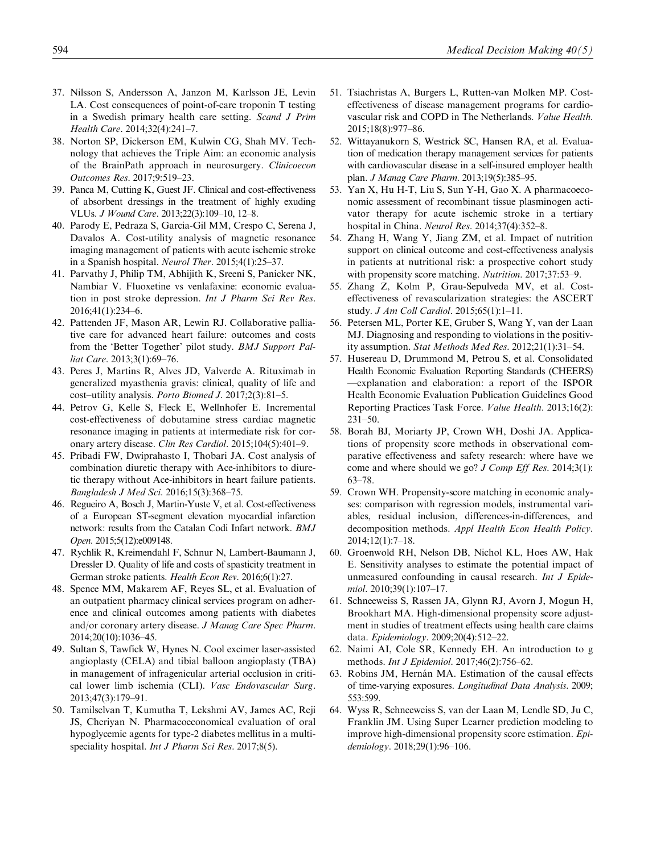- 37. Nilsson S, Andersson A, Janzon M, Karlsson JE, Levin LA. Cost consequences of point-of-care troponin T testing in a Swedish primary health care setting. Scand J Prim Health Care. 2014;32(4):241–7.
- 38. Norton SP, Dickerson EM, Kulwin CG, Shah MV. Technology that achieves the Triple Aim: an economic analysis of the BrainPath approach in neurosurgery. Clinicoecon Outcomes Res. 2017;9:519–23.
- 39. Panca M, Cutting K, Guest JF. Clinical and cost-effectiveness of absorbent dressings in the treatment of highly exuding VLUs. J Wound Care. 2013;22(3):109–10, 12–8.
- 40. Parody E, Pedraza S, Garcia-Gil MM, Crespo C, Serena J, Davalos A. Cost-utility analysis of magnetic resonance imaging management of patients with acute ischemic stroke in a Spanish hospital. Neurol Ther. 2015;4(1):25–37.
- 41. Parvathy J, Philip TM, Abhijith K, Sreeni S, Panicker NK, Nambiar V. Fluoxetine vs venlafaxine: economic evaluation in post stroke depression. Int J Pharm Sci Rev Res. 2016;41(1):234–6.
- 42. Pattenden JF, Mason AR, Lewin RJ. Collaborative palliative care for advanced heart failure: outcomes and costs from the 'Better Together' pilot study. BMJ Support Palliat Care. 2013;3(1):69–76.
- 43. Peres J, Martins R, Alves JD, Valverde A. Rituximab in generalized myasthenia gravis: clinical, quality of life and cost–utility analysis. Porto Biomed J. 2017;2(3):81–5.
- 44. Petrov G, Kelle S, Fleck E, Wellnhofer E. Incremental cost-effectiveness of dobutamine stress cardiac magnetic resonance imaging in patients at intermediate risk for coronary artery disease. Clin Res Cardiol. 2015;104(5):401–9.
- 45. Pribadi FW, Dwiprahasto I, Thobari JA. Cost analysis of combination diuretic therapy with Ace-inhibitors to diuretic therapy without Ace-inhibitors in heart failure patients. Bangladesh J Med Sci. 2016;15(3):368–75.
- 46. Regueiro A, Bosch J, Martin-Yuste V, et al. Cost-effectiveness of a European ST-segment elevation myocardial infarction network: results from the Catalan Codi Infart network. BMJ Open. 2015;5(12):e009148.
- 47. Rychlik R, Kreimendahl F, Schnur N, Lambert-Baumann J, Dressler D. Quality of life and costs of spasticity treatment in German stroke patients. Health Econ Rev. 2016;6(1):27.
- 48. Spence MM, Makarem AF, Reyes SL, et al. Evaluation of an outpatient pharmacy clinical services program on adherence and clinical outcomes among patients with diabetes and/or coronary artery disease. J Manag Care Spec Pharm. 2014;20(10):1036–45.
- 49. Sultan S, Tawfick W, Hynes N. Cool excimer laser-assisted angioplasty (CELA) and tibial balloon angioplasty (TBA) in management of infragenicular arterial occlusion in critical lower limb ischemia (CLI). Vasc Endovascular Surg. 2013;47(3):179–91.
- 50. Tamilselvan T, Kumutha T, Lekshmi AV, James AC, Reji JS, Cheriyan N. Pharmacoeconomical evaluation of oral hypoglycemic agents for type-2 diabetes mellitus in a multispeciality hospital. *Int J Pharm Sci Res.* 2017;8(5).
- 51. Tsiachristas A, Burgers L, Rutten-van Molken MP. Costeffectiveness of disease management programs for cardiovascular risk and COPD in The Netherlands. Value Health. 2015;18(8):977–86.
- 52. Wittayanukorn S, Westrick SC, Hansen RA, et al. Evaluation of medication therapy management services for patients with cardiovascular disease in a self-insured employer health plan. J Manag Care Pharm. 2013;19(5):385–95.
- 53. Yan X, Hu H-T, Liu S, Sun Y-H, Gao X. A pharmacoeconomic assessment of recombinant tissue plasminogen activator therapy for acute ischemic stroke in a tertiary hospital in China. Neurol Res. 2014;37(4):352–8.
- 54. Zhang H, Wang Y, Jiang ZM, et al. Impact of nutrition support on clinical outcome and cost-effectiveness analysis in patients at nutritional risk: a prospective cohort study with propensity score matching. Nutrition. 2017;37:53-9.
- 55. Zhang Z, Kolm P, Grau-Sepulveda MV, et al. Costeffectiveness of revascularization strategies: the ASCERT study. *J Am Coll Cardiol.* 2015;65(1):1-11.
- 56. Petersen ML, Porter KE, Gruber S, Wang Y, van der Laan MJ. Diagnosing and responding to violations in the positivity assumption. Stat Methods Med Res. 2012;21(1):31–54.
- 57. Husereau D, Drummond M, Petrou S, et al. Consolidated Health Economic Evaluation Reporting Standards (CHEERS) —explanation and elaboration: a report of the ISPOR Health Economic Evaluation Publication Guidelines Good Reporting Practices Task Force. Value Health. 2013;16(2): 231–50.
- 58. Borah BJ, Moriarty JP, Crown WH, Doshi JA. Applications of propensity score methods in observational comparative effectiveness and safety research: where have we come and where should we go? *J Comp Eff Res.* 2014;3(1): 63–78.
- 59. Crown WH. Propensity-score matching in economic analyses: comparison with regression models, instrumental variables, residual inclusion, differences-in-differences, and decomposition methods. Appl Health Econ Health Policy. 2014;12(1):7–18.
- 60. Groenwold RH, Nelson DB, Nichol KL, Hoes AW, Hak E. Sensitivity analyses to estimate the potential impact of unmeasured confounding in causal research. Int J Epidemiol. 2010;39(1):107–17.
- 61. Schneeweiss S, Rassen JA, Glynn RJ, Avorn J, Mogun H, Brookhart MA. High-dimensional propensity score adjustment in studies of treatment effects using health care claims data. Epidemiology. 2009;20(4):512–22.
- 62. Naimi AI, Cole SR, Kennedy EH. An introduction to g methods. Int J Epidemiol. 2017;46(2):756–62.
- 63. Robins JM, Hernán MA. Estimation of the causal effects of time-varying exposures. Longitudinal Data Analysis. 2009; 553:599.
- 64. Wyss R, Schneeweiss S, van der Laan M, Lendle SD, Ju C, Franklin JM. Using Super Learner prediction modeling to improve high-dimensional propensity score estimation. Epidemiology. 2018;29(1):96–106.